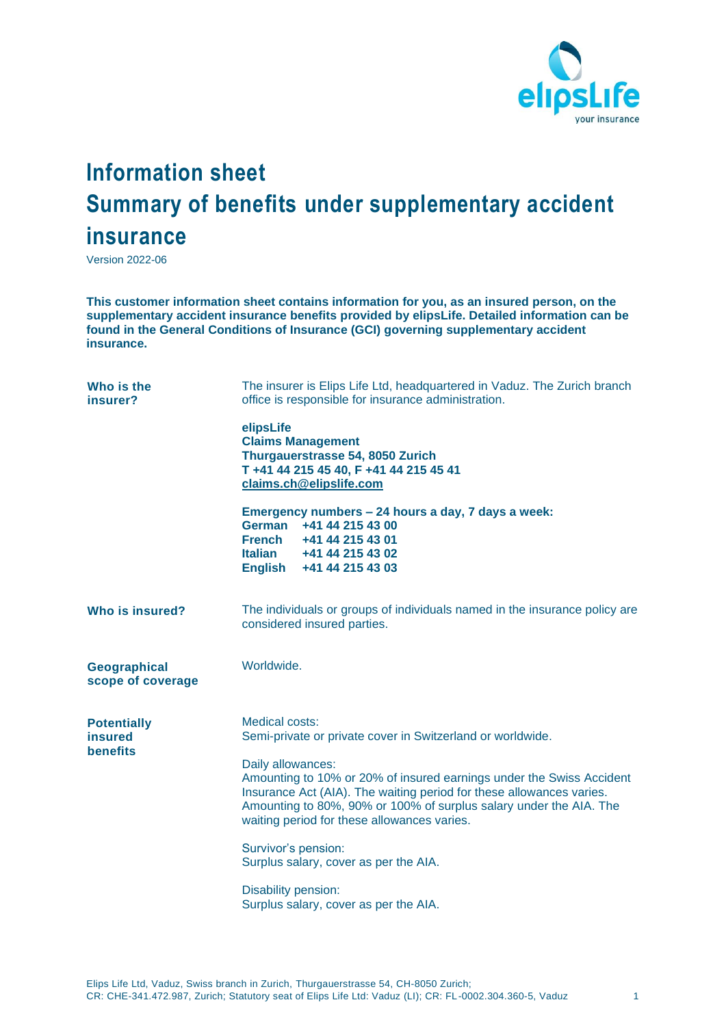

## **Information sheet Summary of benefits under supplementary accident insurance**

Version 2022-06

**This customer information sheet contains information for you, as an insured person, on the supplementary accident insurance benefits provided by elipsLife. Detailed information can be found in the General Conditions of Insurance (GCI) governing supplementary accident insurance.**

| Who is the<br>insurer?                                  | The insurer is Elips Life Ltd, headquartered in Vaduz. The Zurich branch<br>office is responsible for insurance administration.                                                                                                                                                                                                                                                                                                                                                                               |
|---------------------------------------------------------|---------------------------------------------------------------------------------------------------------------------------------------------------------------------------------------------------------------------------------------------------------------------------------------------------------------------------------------------------------------------------------------------------------------------------------------------------------------------------------------------------------------|
|                                                         | elipsLife<br><b>Claims Management</b><br>Thurgauerstrasse 54, 8050 Zurich<br>T +41 44 215 45 40, F +41 44 215 45 41<br>claims.ch@elipslife.com                                                                                                                                                                                                                                                                                                                                                                |
|                                                         | Emergency numbers - 24 hours a day, 7 days a week:<br>German +41 44 215 43 00<br>French +41 44 215 43 01<br>Italian +41 44 215 43 02<br>English +41 44 215 43 03                                                                                                                                                                                                                                                                                                                                              |
| Who is insured?                                         | The individuals or groups of individuals named in the insurance policy are<br>considered insured parties.                                                                                                                                                                                                                                                                                                                                                                                                     |
| Geographical<br>scope of coverage                       | Worldwide.                                                                                                                                                                                                                                                                                                                                                                                                                                                                                                    |
| <b>Potentially</b><br><b>insured</b><br><b>benefits</b> | <b>Medical costs:</b><br>Semi-private or private cover in Switzerland or worldwide.<br>Daily allowances:<br>Amounting to 10% or 20% of insured earnings under the Swiss Accident<br>Insurance Act (AIA). The waiting period for these allowances varies.<br>Amounting to 80%, 90% or 100% of surplus salary under the AIA. The<br>waiting period for these allowances varies.<br>Survivor's pension:<br>Surplus salary, cover as per the AIA.<br>Disability pension:<br>Surplus salary, cover as per the AIA. |